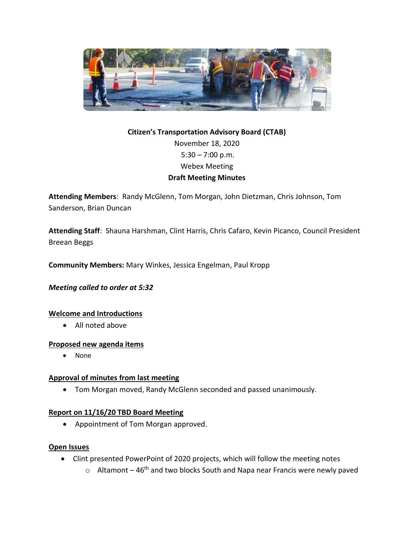

# **Citizen's Transportation Advisory Board (CTAB)** November 18, 2020  $5:30 - 7:00$  p.m. Webex Meeting **Draft Meeting Minutes**

**Attending Members**: Randy McGlenn, Tom Morgan, John Dietzman, Chris Johnson, Tom Sanderson, Brian Duncan

**Attending Staff**: Shauna Harshman, Clint Harris, Chris Cafaro, Kevin Picanco, Council President Breean Beggs

**Community Members:** Mary Winkes, Jessica Engelman, Paul Kropp

*Meeting called to order at 5:32*

## **Welcome and Introductions**

All noted above

#### **Proposed new agenda items**

• None

#### **Approval of minutes from last meeting**

Tom Morgan moved, Randy McGlenn seconded and passed unanimously.

#### **Report on 11/16/20 TBD Board Meeting**

Appointment of Tom Morgan approved.

#### **Open Issues**

- Clint presented PowerPoint of 2020 projects, which will follow the meeting notes
	- $\circ$  Altamont 46<sup>th</sup> and two blocks South and Napa near Francis were newly paved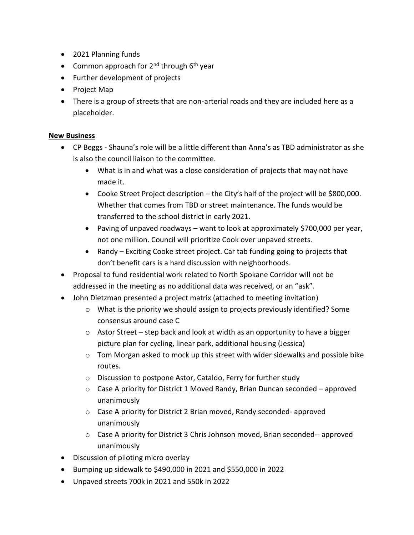- 2021 Planning funds
- Common approach for  $2^{nd}$  through  $6^{th}$  year
- Further development of projects
- Project Map
- There is a group of streets that are non-arterial roads and they are included here as a placeholder.

#### **New Business**

- CP Beggs Shauna's role will be a little different than Anna's as TBD administrator as she is also the council liaison to the committee.
	- What is in and what was a close consideration of projects that may not have made it.
	- Cooke Street Project description the City's half of the project will be \$800,000. Whether that comes from TBD or street maintenance. The funds would be transferred to the school district in early 2021.
	- Paving of unpaved roadways want to look at approximately \$700,000 per year, not one million. Council will prioritize Cook over unpaved streets.
	- Randy Exciting Cooke street project. Car tab funding going to projects that don't benefit cars is a hard discussion with neighborhoods.
- Proposal to fund residential work related to North Spokane Corridor will not be addressed in the meeting as no additional data was received, or an "ask".
- John Dietzman presented a project matrix (attached to meeting invitation)
	- $\circ$  What is the priority we should assign to projects previously identified? Some consensus around case C
	- o Astor Street step back and look at width as an opportunity to have a bigger picture plan for cycling, linear park, additional housing (Jessica)
	- $\circ$  Tom Morgan asked to mock up this street with wider sidewalks and possible bike routes.
	- o Discussion to postpone Astor, Cataldo, Ferry for further study
	- $\circ$  Case A priority for District 1 Moved Randy, Brian Duncan seconded approved unanimously
	- o Case A priority for District 2 Brian moved, Randy seconded- approved unanimously
	- o Case A priority for District 3 Chris Johnson moved, Brian seconded-- approved unanimously
- Discussion of piloting micro overlay
- Bumping up sidewalk to \$490,000 in 2021 and \$550,000 in 2022
- Unpaved streets 700k in 2021 and 550k in 2022